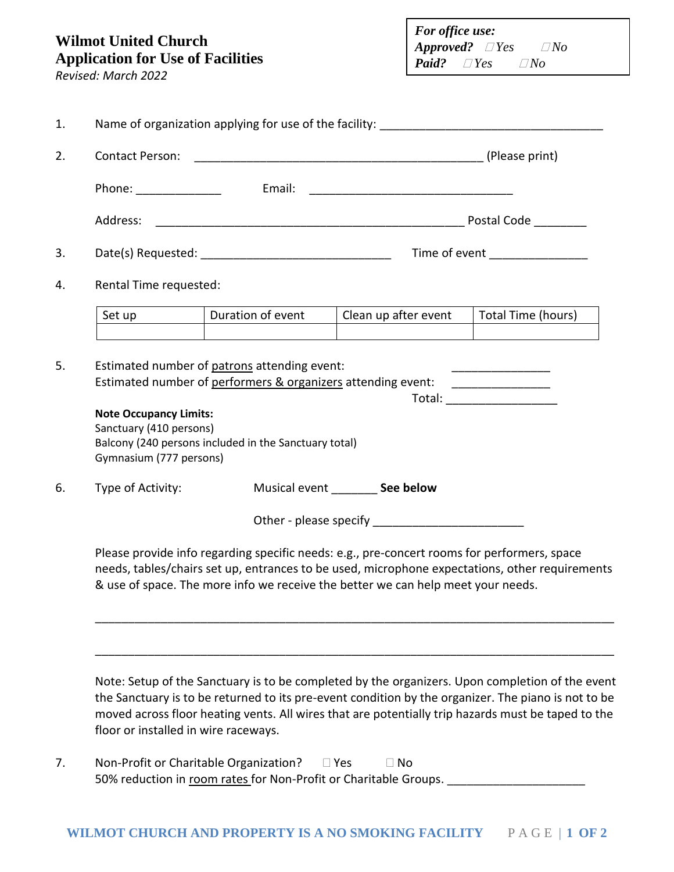## **Wilmot United Church Application for Use of Facilities**

*Revised: March 2022*

| For office use:             |  |  |             |  |
|-----------------------------|--|--|-------------|--|
| $\it{Approved?}$ $\Box$ Yes |  |  | $\nabla$ No |  |
| <b>Paid?</b> $\Box$ Yes     |  |  | $\nabla$ No |  |

|        |                                                                                     |                                                       | Name of organization applying for use of the facility: |                    |
|--------|-------------------------------------------------------------------------------------|-------------------------------------------------------|--------------------------------------------------------|--------------------|
|        |                                                                                     |                                                       |                                                        |                    |
|        | Phone: ________________                                                             |                                                       |                                                        |                    |
|        |                                                                                     |                                                       |                                                        |                    |
|        |                                                                                     |                                                       |                                                        |                    |
|        | Rental Time requested:                                                              |                                                       |                                                        |                    |
| Set up |                                                                                     | Duration of event                                     | Clean up after event                                   | Total Time (hours) |
|        | <b>Note Occupancy Limits:</b><br>Sanctuary (410 persons)<br>Gymnasium (777 persons) | Balcony (240 persons included in the Sanctuary total) |                                                        |                    |
|        | Type of Activity:                                                                   |                                                       | Musical event _________ See below                      |                    |
|        |                                                                                     |                                                       |                                                        |                    |
|        |                                                                                     |                                                       |                                                        |                    |

the Sanctuary is to be returned to its pre-event condition by the organizer. The piano is not to be moved across floor heating vents. All wires that are potentially trip hazards must be taped to the floor or installed in wire raceways.

7. Non-Profit or Charitable Organization?  $\Box$  Yes  $\Box$  No 50% reduction in room rates for Non-Profit or Charitable Groups. \_\_\_\_\_\_\_\_\_